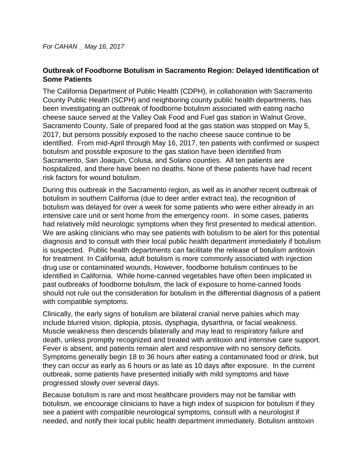## **Outbreak of Foodborne Botulism in Sacramento Region: Delayed Identification of Some Patients**

The California Department of Public Health (CDPH), in collaboration with Sacramento County Public Health (SCPH) and neighboring county public health departments, has been investigating an outbreak of foodborne botulism associated with eating nacho cheese sauce served at the Valley Oak Food and Fuel gas station in Walnut Grove, Sacramento County. Sale of prepared food at the gas station was stopped on May 5, 2017, but persons possibly exposed to the nacho cheese sauce continue to be identified. From mid-April through May 16, 2017, ten patients with confirmed or suspect botulism and possible exposure to the gas station have been identified from Sacramento, San Joaquin, Colusa, and Solano counties. All ten patients are hospitalized, and there have been no deaths. None of these patients have had recent risk factors for wound botulism.

During this outbreak in the Sacramento region, as well as in another recent outbreak of botulism in southern California (due to deer antler extract tea), the recognition of botulism was delayed for over a week for some patients who were either already in an intensive care unit or sent home from the emergency room. In some cases, patients had relatively mild neurologic symptoms when they first presented to medical attention. We are asking clinicians who may see patients with botulism to be alert for this potential diagnosis and to consult with their local public health department immediately if botulism is suspected. Public health departments can facilitate the release of botulism antitoxin for treatment. In California, adult botulism is more commonly associated with injection drug use or contaminated wounds. However, foodborne botulism continues to be identified in California. While home-canned vegetables have often been implicated in past outbreaks of foodborne botulism, the lack of exposure to home-canned foods should not rule out the consideration for botulism in the differential diagnosis of a patient with compatible symptoms.

Clinically, the early signs of botulism are bilateral cranial nerve palsies which may include blurred vision, diplopia, ptosis, dysphagia, dysarthria, or facial weakness. Muscle weakness then descends bilaterally and may lead to respiratory failure and death, unless promptly recognized and treated with antitoxin and intensive care support. Fever is absent, and patients remain alert and responsive with no sensory deficits. Symptoms generally begin 18 to 36 hours after eating a contaminated food or drink, but they can occur as early as 6 hours or as late as 10 days after exposure. In the current outbreak, some patients have presented initially with mild symptoms and have progressed slowly over several days.

Because botulism is rare and most healthcare providers may not be familiar with botulism, we encourage clinicians to have a high index of suspicion for botulism if they see a patient with compatible neurological symptoms, consult with a neurologist if needed, and notify their local public health department immediately. Botulism antitoxin